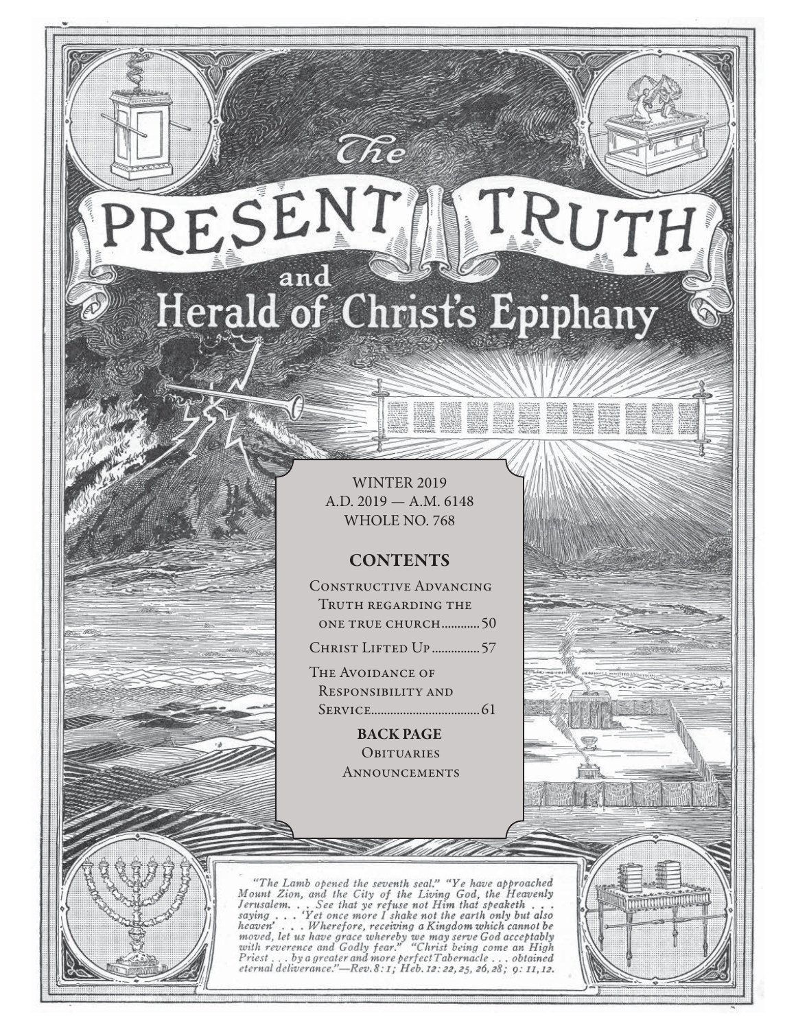# RESENT TRUTH and Herald of Christ's Epiphany

 $\widehat{C}\hspace{-0.6mm}\mathit{\widehat{R}} e$ 

WINTER 2019 A.D. 2019 — A.M. 6148 WHOLE NO. 768

**STARB SCRIPT** 

# **CONTENTS**

Constructive Advancing Truth regarding the one true church ............50

CHRIST LIFTED UP ................57

The Avoidance of Responsibility and Service..................................61

> **BACK PAGE OBITUARIES ANNOUNCEMENTS**

"The Lamb opened the seventh seal," "Ye have approached<br>Mount Zion, and the City of the Living God, the Heavenly<br>Jerusalem... See that ye refuse not Him that speaketh...<br>saying ... 'Yet once more I shake not the earth onl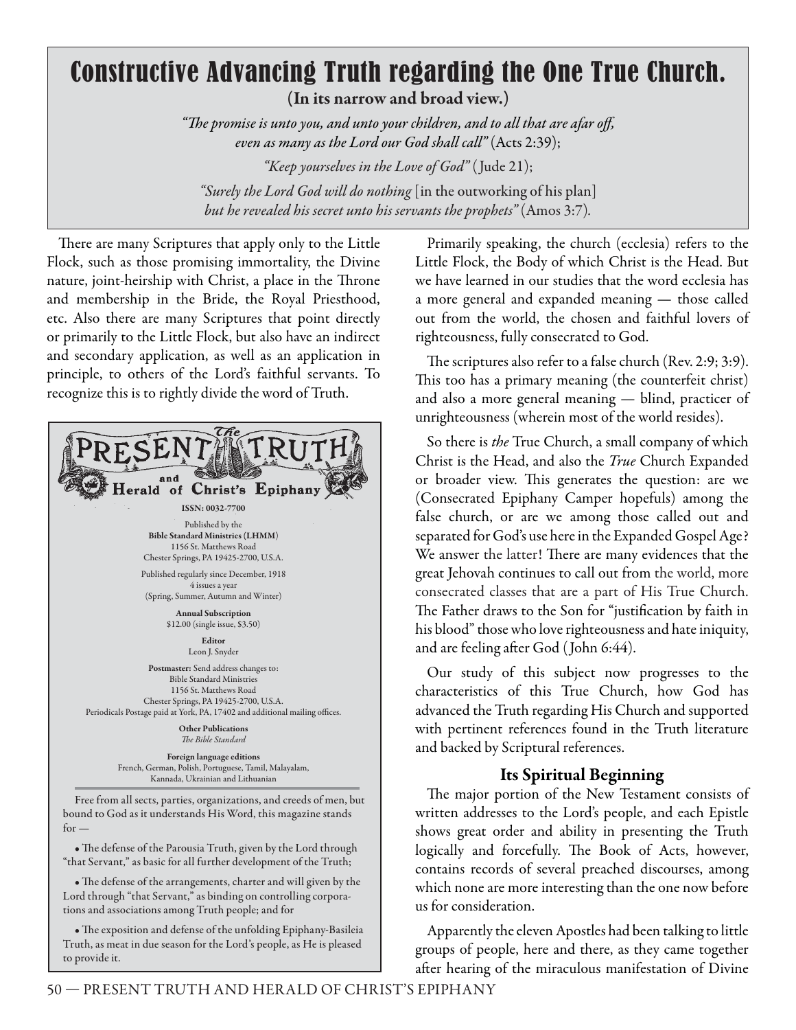# Constructive Advancing Truth regarding the One True Church. **(In its narrow and broad view.)**

"The promise is unto you, and unto your children, and to all that are afar off, *even as many as the Lord our God shall call"* (Acts 2:39); *"Keep yourselves in the Love of God"* (Jude 21); *"Surely the Lord God will do nothing* [in the outworking of his plan] *but he revealed his secret unto his servants the prophets"* (Amos 3:7)*.*

There are many Scriptures that apply only to the Little Flock, such as those promising immortality, the Divine nature, joint-heirship with Christ, a place in the Throne and membership in the Bride, the Royal Priesthood, etc. Also there are many Scriptures that point directly or primarily to the Little Flock, but also have an indirect and secondary application, as well as an application in principle, to others of the Lord's faithful servants. To recognize this is to rightly divide the word of Truth.



• The defense of the Parousia Truth, given by the Lord through "that Servant," as basic for all further development of the Truth;

• The defense of the arrangements, charter and will given by the Lord through "that Servant," as binding on controlling corporations and associations among Truth people; and for

• The exposition and defense of the unfolding Epiphany-Basileia Truth, as meat in due season for the Lord's people, as He is pleased to provide it.

Primarily speaking, the church (ecclesia) refers to the Little Flock, the Body of which Christ is the Head. But we have learned in our studies that the word ecclesia has a more general and expanded meaning — those called out from the world, the chosen and faithful lovers of righteousness, fully consecrated to God.

The scriptures also refer to a false church (Rev. 2:9; 3:9). This too has a primary meaning (the counterfeit christ) and also a more general meaning — blind, practicer of unrighteousness (wherein most of the world resides).

So there is *the* True Church, a small company of which Christ is the Head, and also the *True* Church Expanded or broader view. This generates the question: are we (Consecrated Epiphany Camper hopefuls) among the false church, or are we among those called out and separated for God's use here in the Expanded Gospel Age? We answer the latter! There are many evidences that the great Jehovah continues to call out from the world, more consecrated classes that are a part of His True Church. The Father draws to the Son for "justification by faith in his blood" those who love righteousness and hate iniquity, and are feeling after God (John 6:44).

Our study of this subject now progresses to the characteristics of this True Church, how God has advanced the Truth regarding His Church and supported with pertinent references found in the Truth literature and backed by Scriptural references.

# **Its Spiritual Beginning**

The major portion of the New Testament consists of written addresses to the Lord's people, and each Epistle shows great order and ability in presenting the Truth logically and forcefully. The Book of Acts, however, contains records of several preached discourses, among which none are more interesting than the one now before us for consideration.

Apparently the eleven Apostles had been talking to little groups of people, here and there, as they came together after hearing of the miraculous manifestation of Divine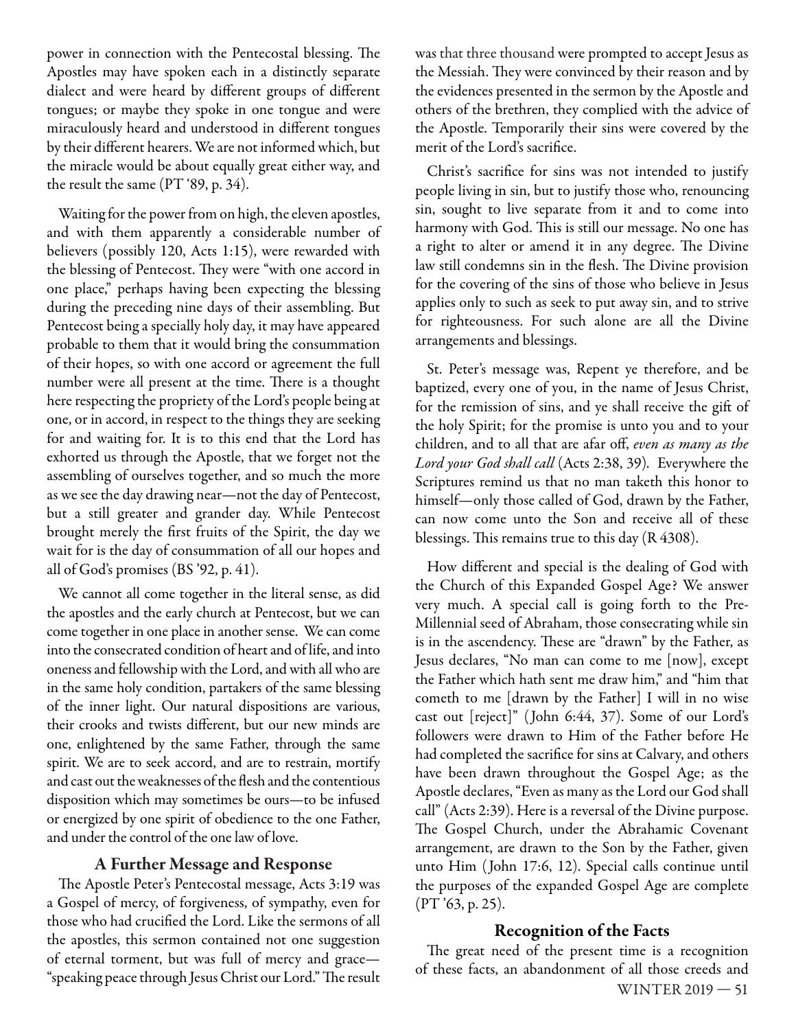power in connection with the Pentecostal blessing. The Apostles may have spoken each in a distinctly separate dialect and were heard by different groups of different tongues; or maybe they spoke in one tongue and were miraculously heard and understood in different tongues by their different hearers. We are not informed which, but the miracle would be about equally great either way, and the result the same (PT '89, p. 34).

Waiting for the power from on high, the eleven apostles, and with them apparently a considerable number of believers (possibly 120, Acts 1:15), were rewarded with the blessing of Pentecost. They were "with one accord in one place," perhaps having been expecting the blessing during the preceding nine days of their assembling. But Pentecost being a specially holy day, it may have appeared probable to them that it would bring the consummation of their hopes, so with one accord or agreement the full number were all present at the time. There is a thought here respecting the propriety of the Lord's people being at one, or in accord, in respect to the things they are seeking for and waiting for. It is to this end that the Lord has exhorted us through the Apostle, that we forget not the assembling of ourselves together, and so much the more as we see the day drawing near—not the day of Pentecost, but a still greater and grander day. While Pentecost brought merely the first fruits of the Spirit, the day we wait for is the day of consummation of all our hopes and all of God's promises (BS '92, p. 41).

We cannot all come together in the literal sense, as did the apostles and the early church at Pentecost, but we can come together in one place in another sense. We can come into the consecrated condition of heart and of life, and into oneness and fellowship with the Lord, and with all who are in the same holy condition, partakers of the same blessing of the inner light. Our natural dispositions are various, their crooks and twists different, but our new minds are one, enlightened by the same Father, through the same spirit. We are to seek accord, and are to restrain, mortify and cast out the weaknesses of the flesh and the contentious disposition which may sometimes be ours—to be infused or energized by one spirit of obedience to the one Father, and under the control of the one law of love.

#### **A Further Message and Response**

The Apostle Peter's Pentecostal message, Acts 3:19 was a Gospel of mercy, of forgiveness, of sympathy, even for those who had crucified the Lord. Like the sermons of all the apostles, this sermon contained not one suggestion of eternal torment, but was full of mercy and grace— "speaking peace through Jesus Christ our Lord." The result

was that three thousand were prompted to accept Jesus as the Messiah. They were convinced by their reason and by the evidences presented in the sermon by the Apostle and others of the brethren, they complied with the advice of the Apostle. Temporarily their sins were covered by the merit of the Lord's sacrifice.

Christ's sacrifice for sins was not intended to justify people living in sin, but to justify those who, renouncing sin, sought to live separate from it and to come into harmony with God. This is still our message. No one has a right to alter or amend it in any degree. The Divine law still condemns sin in the flesh. The Divine provision for the covering of the sins of those who believe in Jesus applies only to such as seek to put away sin, and to strive for righteousness. For such alone are all the Divine arrangements and blessings.

St. Peter's message was, Repent ye therefore, and be baptized, every one of you, in the name of Jesus Christ, for the remission of sins, and ye shall receive the gift of the holy Spirit; for the promise is unto you and to your children, and to all that are afar off, *even as many as the Lord your God shall call* (Acts 2:38, 39)*.* Everywhere the Scriptures remind us that no man taketh this honor to himself—only those called of God, drawn by the Father, can now come unto the Son and receive all of these blessings. This remains true to this day  $(R 4308)$ .

How different and special is the dealing of God with the Church of this Expanded Gospel Age? We answer very much. A special call is going forth to the Pre-Millennial seed of Abraham, those consecrating while sin is in the ascendency. These are "drawn" by the Father, as Jesus declares, "No man can come to me [now], except the Father which hath sent me draw him," and "him that cometh to me [drawn by the Father] I will in no wise cast out [reject]" ( John 6:44, 37). Some of our Lord's followers were drawn to Him of the Father before He had completed the sacrifice for sins at Calvary, and others have been drawn throughout the Gospel Age; as the Apostle declares, "Even as many as the Lord our God shall call" (Acts 2:39). Here is a reversal of the Divine purpose. The Gospel Church, under the Abrahamic Covenant arrangement, are drawn to the Son by the Father, given unto Him ( John 17:6, 12). Special calls continue until the purposes of the expanded Gospel Age are complete (PT '63, p. 25).

#### **Recognition of the Facts**

WINTER 2019 — 51 The great need of the present time is a recognition of these facts, an abandonment of all those creeds and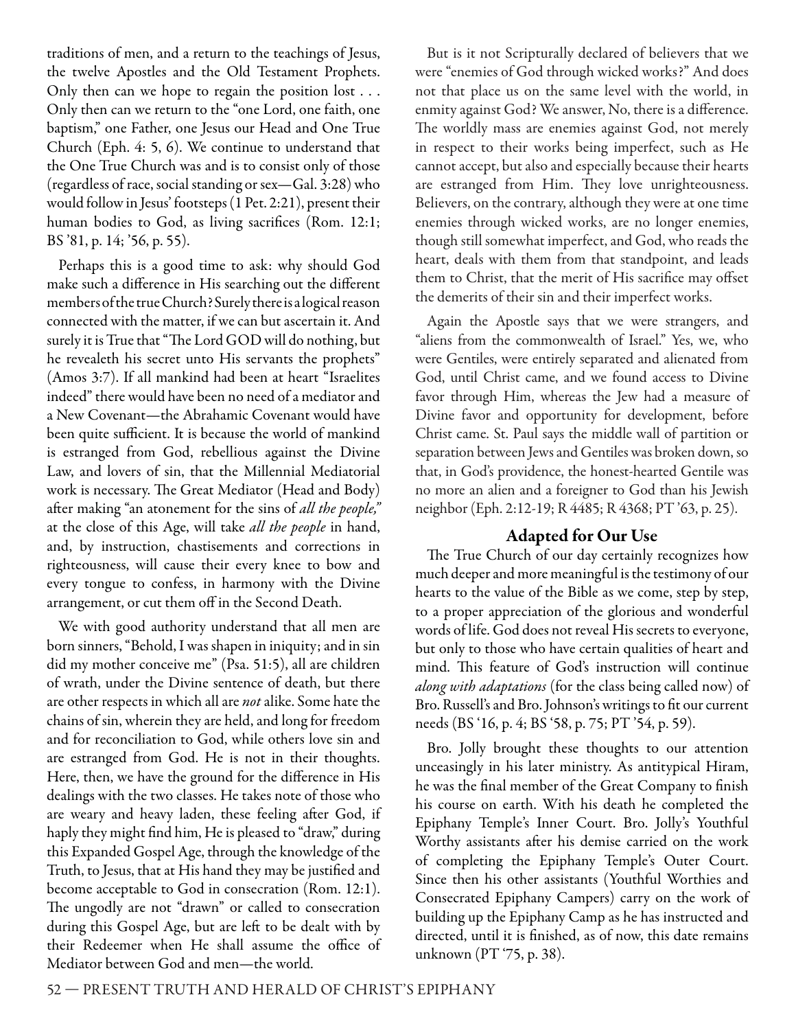traditions of men, and a return to the teachings of Jesus, the twelve Apostles and the Old Testament Prophets. Only then can we hope to regain the position lost . . . Only then can we return to the "one Lord, one faith, one baptism," one Father, one Jesus our Head and One True Church (Eph. 4: 5, 6). We continue to understand that the One True Church was and is to consist only of those (regardless of race, social standing or sex—Gal. 3:28) who would follow in Jesus' footsteps (1 Pet. 2:21), present their human bodies to God, as living sacrifices (Rom. 12:1; BS '81, p. 14; '56, p. 55).

Perhaps this is a good time to ask: why should God make such a difference in His searching out the different members of the true Church? Surely there is a logical reason connected with the matter, if we can but ascertain it. And surely it is True that "The Lord GOD will do nothing, but he revealeth his secret unto His servants the prophets" (Amos 3:7). If all mankind had been at heart "Israelites indeed" there would have been no need of a mediator and a New Covenant—the Abrahamic Covenant would have been quite sufficient. It is because the world of mankind is estranged from God, rebellious against the Divine Law, and lovers of sin, that the Millennial Mediatorial work is necessary. The Great Mediator (Head and Body) after making "an atonement for the sins of *all the people,"* at the close of this Age, will take *all the people* in hand, and, by instruction, chastisements and corrections in righteousness, will cause their every knee to bow and every tongue to confess, in harmony with the Divine arrangement, or cut them off in the Second Death.

We with good authority understand that all men are born sinners, "Behold, I was shapen in iniquity; and in sin did my mother conceive me" (Psa. 51:5), all are children of wrath, under the Divine sentence of death, but there are other respects in which all are *not* alike. Some hate the chains of sin, wherein they are held, and long for freedom and for reconciliation to God, while others love sin and are estranged from God. He is not in their thoughts. Here, then, we have the ground for the difference in His dealings with the two classes. He takes note of those who are weary and heavy laden, these feeling after God, if haply they might find him, He is pleased to "draw," during this Expanded Gospel Age, through the knowledge of the Truth, to Jesus, that at His hand they may be justified and become acceptable to God in consecration (Rom. 12:1). The ungodly are not "drawn" or called to consecration during this Gospel Age, but are left to be dealt with by their Redeemer when He shall assume the office of Mediator between God and men—the world.

But is it not Scripturally declared of believers that we were "enemies of God through wicked works?" And does not that place us on the same level with the world, in enmity against God? We answer, No, there is a difference. The worldly mass are enemies against God, not merely in respect to their works being imperfect, such as He cannot accept, but also and especially because their hearts are estranged from Him. They love unrighteousness. Believers, on the contrary, although they were at one time enemies through wicked works, are no longer enemies, though still somewhat imperfect, and God, who reads the heart, deals with them from that standpoint, and leads them to Christ, that the merit of His sacrifice may offset the demerits of their sin and their imperfect works.

Again the Apostle says that we were strangers, and "aliens from the commonwealth of Israel." Yes, we, who were Gentiles, were entirely separated and alienated from God, until Christ came, and we found access to Divine favor through Him, whereas the Jew had a measure of Divine favor and opportunity for development, before Christ came. St. Paul says the middle wall of partition or separation between Jews and Gentiles was broken down, so that, in God's providence, the honest-hearted Gentile was no more an alien and a foreigner to God than his Jewish neighbor (Eph. 2:12-19; R 4485; R 4368; PT '63, p. 25).

# **Adapted for Our Use**

The True Church of our day certainly recognizes how much deeper and more meaningful is the testimony of our hearts to the value of the Bible as we come, step by step, to a proper appreciation of the glorious and wonderful words of life. God does not reveal His secrets to everyone, but only to those who have certain qualities of heart and mind. This feature of God's instruction will continue *along with adaptations* (for the class being called now) of Bro. Russell's and Bro. Johnson's writings to fit our current needs (BS '16, p. 4; BS '58, p. 75; PT '54, p. 59).

Bro. Jolly brought these thoughts to our attention unceasingly in his later ministry. As antitypical Hiram, he was the final member of the Great Company to finish his course on earth. With his death he completed the Epiphany Temple's Inner Court. Bro. Jolly's Youthful Worthy assistants after his demise carried on the work of completing the Epiphany Temple's Outer Court. Since then his other assistants (Youthful Worthies and Consecrated Epiphany Campers) carry on the work of building up the Epiphany Camp as he has instructed and directed, until it is finished, as of now, this date remains unknown (PT '75, p. 38).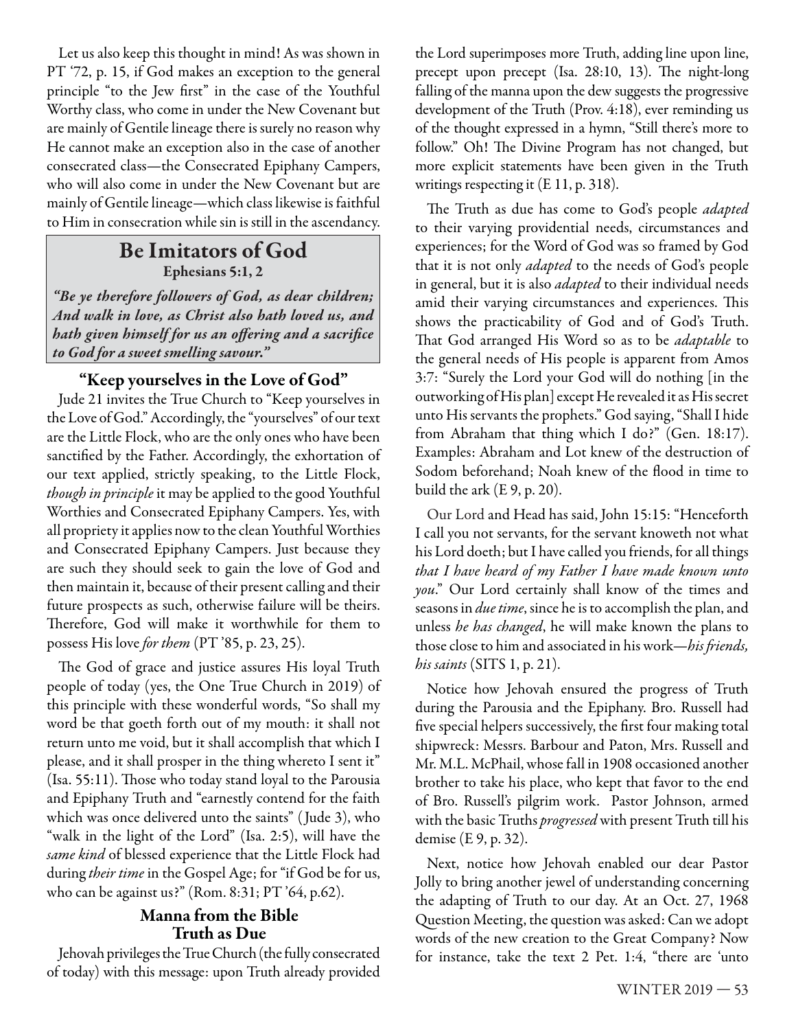Let us also keep this thought in mind! As was shown in PT '72, p. 15, if God makes an exception to the general principle "to the Jew first" in the case of the Youthful Worthy class, who come in under the New Covenant but are mainly of Gentile lineage there is surely no reason why He cannot make an exception also in the case of another consecrated class—the Consecrated Epiphany Campers, who will also come in under the New Covenant but are mainly of Gentile lineage—which class likewise is faithful to Him in consecration while sin is still in the ascendancy.

# **Be Imitators of God Ephesians 5:1, 2**

*"Be ye therefore followers of God, as dear children; And walk in love, as Christ also hath loved us, and*  hath given himself for us an offering and a sacrifice *to God for a sweet smelling savour."*

# **"Keep yourselves in the Love of God"**

Jude 21 invites the True Church to "Keep yourselves in the Love of God." Accordingly, the "yourselves" of our text are the Little Flock, who are the only ones who have been sanctified by the Father. Accordingly, the exhortation of our text applied, strictly speaking, to the Little Flock, *though in principle* it may be applied to the good Youthful Worthies and Consecrated Epiphany Campers. Yes, with all propriety it applies now to the clean Youthful Worthies and Consecrated Epiphany Campers. Just because they are such they should seek to gain the love of God and then maintain it, because of their present calling and their future prospects as such, otherwise failure will be theirs. Therefore, God will make it worthwhile for them to possess His love *for them* (PT '85, p. 23, 25).

The God of grace and justice assures His loyal Truth people of today (yes, the One True Church in 2019) of this principle with these wonderful words, "So shall my word be that goeth forth out of my mouth: it shall not return unto me void, but it shall accomplish that which I please, and it shall prosper in the thing whereto I sent it" (Isa. 55:11). Those who today stand loyal to the Parousia and Epiphany Truth and "earnestly contend for the faith which was once delivered unto the saints" ( Jude 3), who "walk in the light of the Lord" (Isa. 2:5), will have the *same kind* of blessed experience that the Little Flock had during *their time* in the Gospel Age; for "if God be for us, who can be against us?" (Rom. 8:31; PT '64, p.62).

#### **Manna from the Bible Truth as Due**

Jehovah privileges the True Church (the fully consecrated of today) with this message: upon Truth already provided

the Lord superimposes more Truth, adding line upon line, precept upon precept (Isa.  $28:10$ , 13). The night-long falling of the manna upon the dew suggests the progressive development of the Truth (Prov. 4:18), ever reminding us of the thought expressed in a hymn, "Still there's more to follow." Oh! The Divine Program has not changed, but more explicit statements have been given in the Truth writings respecting it (E 11, p. 318).

The Truth as due has come to God's people *adapted* to their varying providential needs, circumstances and experiences; for the Word of God was so framed by God that it is not only *adapted* to the needs of God's people in general, but it is also *adapted* to their individual needs amid their varying circumstances and experiences. This shows the practicability of God and of God's Truth. That God arranged His Word so as to be *adaptable* to the general needs of His people is apparent from Amos 3:7: "Surely the Lord your God will do nothing [in the outworking of His plan] except He revealed it as His secret unto His servants the prophets." God saying, "Shall I hide from Abraham that thing which I do?" (Gen. 18:17). Examples: Abraham and Lot knew of the destruction of Sodom beforehand; Noah knew of the flood in time to build the ark (E 9, p. 20).

Our Lord and Head has said, John 15:15: "Henceforth I call you not servants, for the servant knoweth not what his Lord doeth; but I have called you friends, for all things *that I have heard of my Father I have made known unto you*. " Our Lord certainly shall know of the times and seasons in *due time*, since he is to accomplish the plan, and unless *he has changed*, he will make known the plans to those close to him and associated in his work—*his friends*, *his saints* (SITS 1, p. 21).

Notice how Jehovah ensured the progress of Truth during the Parousia and the Epiphany. Bro. Russell had five special helpers successively, the first four making total shipwreck: Messrs. Barbour and Paton, Mrs. Russell and Mr. M.L. McPhail, whose fall in 1908 occasioned another brother to take his place, who kept that favor to the end of Bro. Russell's pilgrim work. Pastor Johnson, armed with the basic Truths *progressed* with present Truth till his demise (E 9, p. 32).

Next, notice how Jehovah enabled our dear Pastor Jolly to bring another jewel of understanding concerning the adapting of Truth to our day. At an Oct. 27, 1968 Question Meeting, the question was asked: Can we adopt words of the new creation to the Great Company? Now for instance, take the text 2 Pet. 1:4, "there are 'unto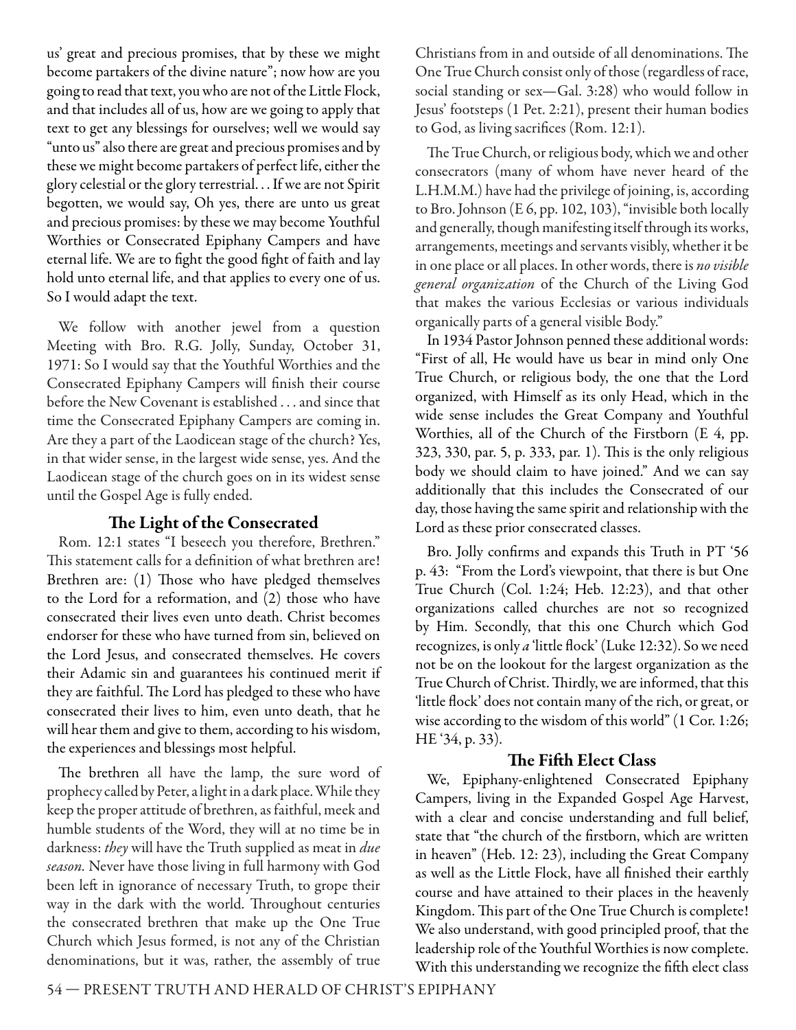us' great and precious promises, that by these we might become partakers of the divine nature"; now how are you going to read that text, you who are not of the Little Flock, and that includes all of us, how are we going to apply that text to get any blessings for ourselves; well we would say "unto us" also there are great and precious promises and by these we might become partakers of perfect life, either the glory celestial or the glory terrestrial. . . If we are not Spirit begotten, we would say, Oh yes, there are unto us great and precious promises: by these we may become Youthful Worthies or Consecrated Epiphany Campers and have eternal life. We are to fight the good fight of faith and lay hold unto eternal life, and that applies to every one of us. So I would adapt the text.

We follow with another jewel from a question Meeting with Bro. R.G. Jolly, Sunday, October 31, 1971: So I would say that the Youthful Worthies and the Consecrated Epiphany Campers will finish their course before the New Covenant is established . . . and since that time the Consecrated Epiphany Campers are coming in. Are they a part of the Laodicean stage of the church? Yes, in that wider sense, in the largest wide sense, yes. And the Laodicean stage of the church goes on in its widest sense until the Gospel Age is fully ended.

#### **The Light of the Consecrated**

Rom. 12:1 states "I beseech you therefore, Brethren." This statement calls for a definition of what brethren are! Brethren are: (1) Those who have pledged themselves to the Lord for a reformation, and (2) those who have consecrated their lives even unto death. Christ becomes endorser for these who have turned from sin, believed on the Lord Jesus, and consecrated themselves. He covers their Adamic sin and guarantees his continued merit if they are faithful. The Lord has pledged to these who have consecrated their lives to him, even unto death, that he will hear them and give to them, according to his wisdom, the experiences and blessings most helpful.

The brethren all have the lamp, the sure word of prophecy called by Peter, a light in a dark place. While they keep the proper attitude of brethren, as faithful, meek and humble students of the Word, they will at no time be in darkness: *they* will have the Truth supplied as meat in *due season.* Never have those living in full harmony with God been left in ignorance of necessary Truth, to grope their way in the dark with the world. Throughout centuries the consecrated brethren that make up the One True Church which Jesus formed, is not any of the Christian denominations, but it was, rather, the assembly of true Christians from in and outside of all denominations. The One True Church consist only of those (regardless of race, social standing or sex—Gal. 3:28) who would follow in Jesus' footsteps (1 Pet. 2:21), present their human bodies to God, as living sacrifices (Rom. 12:1).

The True Church, or religious body, which we and other consecrators (many of whom have never heard of the L.H.M.M.) have had the privilege of joining, is, according to Bro. Johnson (E 6, pp. 102, 103), "invisible both locally and generally, though manifesting itself through its works, arrangements, meetings and servants visibly, whether it be in one place or all places. In other words, there is *no visible general organization* of the Church of the Living God that makes the various Ecclesias or various individuals organically parts of a general visible Body."

In 1934 Pastor Johnson penned these additional words: "First of all, He would have us bear in mind only One True Church, or religious body, the one that the Lord organized, with Himself as its only Head, which in the wide sense includes the Great Company and Youthful Worthies, all of the Church of the Firstborn (E 4, pp. 323, 330, par. 5, p. 333, par. 1). This is the only religious body we should claim to have joined." And we can say additionally that this includes the Consecrated of our day, those having the same spirit and relationship with the Lord as these prior consecrated classes.

Bro. Jolly confirms and expands this Truth in PT '56 p. 43: "From the Lord's viewpoint, that there is but One True Church (Col. 1:24; Heb. 12:23), and that other organizations called churches are not so recognized by Him. Secondly, that this one Church which God recognizes, is only *a* 'little flock' (Luke 12:32). So we need not be on the lookout for the largest organization as the True Church of Christ. Thirdly, we are informed, that this 'little flock' does not contain many of the rich, or great, or wise according to the wisdom of this world" (1 Cor. 1:26; HE '34, p. 33).

#### **The Fifth Elect Class**

We, Epiphany-enlightened Consecrated Epiphany Campers, living in the Expanded Gospel Age Harvest, with a clear and concise understanding and full belief, state that "the church of the firstborn, which are written in heaven" (Heb. 12: 23), including the Great Company as well as the Little Flock, have all finished their earthly course and have attained to their places in the heavenly Kingdom. This part of the One True Church is complete! We also understand, with good principled proof, that the leadership role of the Youthful Worthies is now complete. With this understanding we recognize the fifth elect class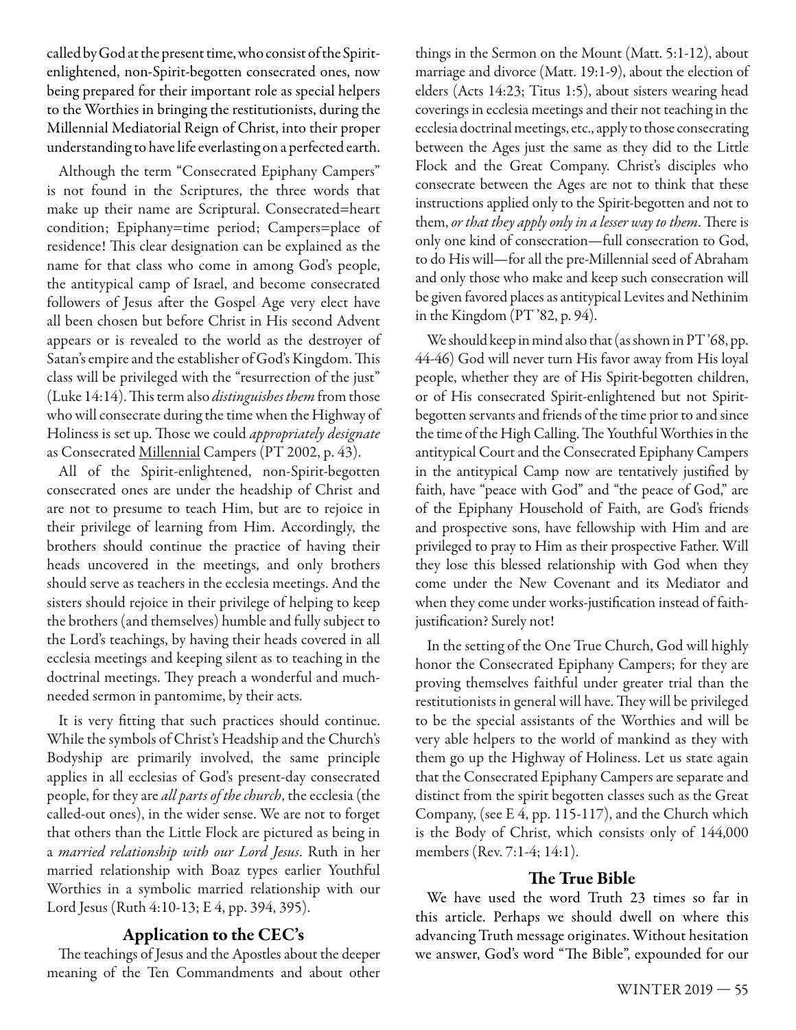called by God at the present time, who consist of the Spiritenlightened, non-Spirit-begotten consecrated ones, now being prepared for their important role as special helpers to the Worthies in bringing the restitutionists, during the Millennial Mediatorial Reign of Christ, into their proper understanding to have life everlasting on a perfected earth.

Although the term "Consecrated Epiphany Campers" is not found in the Scriptures, the three words that make up their name are Scriptural. Consecrated=heart condition; Epiphany=time period; Campers=place of residence! This clear designation can be explained as the name for that class who come in among God's people, the antitypical camp of Israel, and become consecrated followers of Jesus after the Gospel Age very elect have all been chosen but before Christ in His second Advent appears or is revealed to the world as the destroyer of Satan's empire and the establisher of God's Kingdom. This class will be privileged with the "resurrection of the just" (Luke 14:14). Th is term also *distinguishes them* from those who will consecrate during the time when the Highway of Holiness is set up. Th ose we could *appropriately designate* as Consecrated Millennial Campers (PT 2002, p. 43).

All of the Spirit-enlightened, non-Spirit-begotten consecrated ones are under the headship of Christ and are not to presume to teach Him, but are to rejoice in their privilege of learning from Him. Accordingly, the brothers should continue the practice of having their heads uncovered in the meetings, and only brothers should serve as teachers in the ecclesia meetings. And the sisters should rejoice in their privilege of helping to keep the brothers (and themselves) humble and fully subject to the Lord's teachings, by having their heads covered in all ecclesia meetings and keeping silent as to teaching in the doctrinal meetings. They preach a wonderful and muchneeded sermon in pantomime, by their acts.

It is very fitting that such practices should continue. While the symbols of Christ's Headship and the Church's Bodyship are primarily involved, the same principle applies in all ecclesias of God's present-day consecrated people, for they are *all parts of the church*, the ecclesia (the called-out ones), in the wider sense. We are not to forget that others than the Little Flock are pictured as being in a *married relationship with our Lord Jesus*. Ruth in her married relationship with Boaz types earlier Youthful Worthies in a symbolic married relationship with our Lord Jesus (Ruth 4:10-13; E 4, pp. 394, 395).

#### **Application to the CEC's**

The teachings of Jesus and the Apostles about the deeper meaning of the Ten Commandments and about other things in the Sermon on the Mount (Matt. 5:1-12), about marriage and divorce (Matt. 19:1-9), about the election of elders (Acts 14:23; Titus 1:5), about sisters wearing head coverings in ecclesia meetings and their not teaching in the ecclesia doctrinal meetings, etc., apply to those consecrating between the Ages just the same as they did to the Little Flock and the Great Company. Christ's disciples who consecrate between the Ages are not to think that these instructions applied only to the Spirit-begotten and not to them, *or that they apply only in a lesser way to them*. There is only one kind of consecration—full consecration to God, to do His will—for all the pre-Millennial seed of Abraham and only those who make and keep such consecration will be given favored places as antitypical Levites and Nethinim in the Kingdom (PT '82, p. 94).

We should keep in mind also that (as shown in PT '68, pp. 44-46) God will never turn His favor away from His loyal people, whether they are of His Spirit-begotten children, or of His consecrated Spirit-enlightened but not Spiritbegotten servants and friends of the time prior to and since the time of the High Calling. The Youthful Worthies in the antitypical Court and the Consecrated Epiphany Campers in the antitypical Camp now are tentatively justified by faith, have "peace with God" and "the peace of God," are of the Epiphany Household of Faith, are God's friends and prospective sons, have fellowship with Him and are privileged to pray to Him as their prospective Father. Will they lose this blessed relationship with God when they come under the New Covenant and its Mediator and when they come under works-justification instead of faithjustification? Surely not!

In the setting of the One True Church, God will highly honor the Consecrated Epiphany Campers; for they are proving themselves faithful under greater trial than the restitutionists in general will have. They will be privileged to be the special assistants of the Worthies and will be very able helpers to the world of mankind as they with them go up the Highway of Holiness. Let us state again that the Consecrated Epiphany Campers are separate and distinct from the spirit begotten classes such as the Great Company, (see E 4, pp. 115-117), and the Church which is the Body of Christ, which consists only of 144,000 members (Rev. 7:1-4; 14:1).

#### **The True Bible**

We have used the word Truth 23 times so far in this article. Perhaps we should dwell on where this advancing Truth message originates. Without hesitation we answer, God's word "The Bible", expounded for our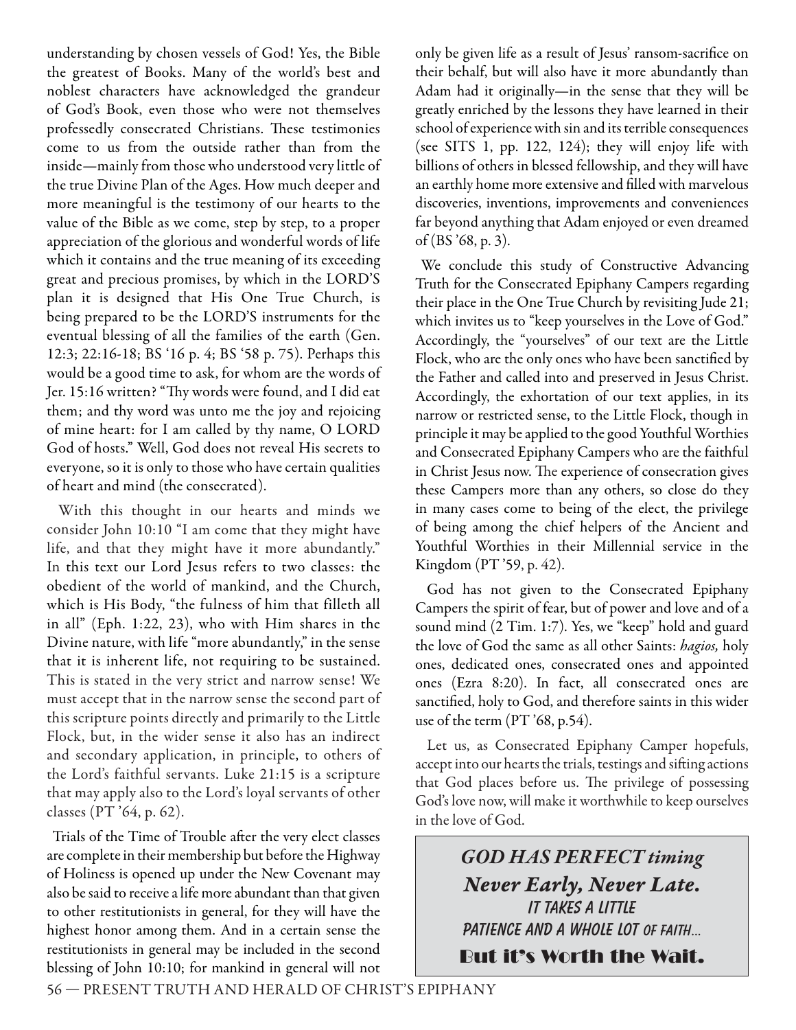understanding by chosen vessels of God! Yes, the Bible the greatest of Books. Many of the world's best and noblest characters have acknowledged the grandeur of God's Book, even those who were not themselves professedly consecrated Christians. These testimonies come to us from the outside rather than from the inside—mainly from those who understood very little of the true Divine Plan of the Ages. How much deeper and more meaningful is the testimony of our hearts to the value of the Bible as we come, step by step, to a proper appreciation of the glorious and wonderful words of life which it contains and the true meaning of its exceeding great and precious promises, by which in the LORD'S plan it is designed that His One True Church, is being prepared to be the LORD'S instruments for the eventual blessing of all the families of the earth (Gen. 12:3; 22:16-18; BS '16 p. 4; BS '58 p. 75). Perhaps this would be a good time to ask, for whom are the words of Jer. 15:16 written? "Thy words were found, and I did eat them; and thy word was unto me the joy and rejoicing of mine heart: for I am called by thy name, O LORD God of hosts." Well, God does not reveal His secrets to everyone, so it is only to those who have certain qualities of heart and mind (the consecrated).

With this thought in our hearts and minds we consider John 10:10 "I am come that they might have life, and that they might have it more abundantly." In this text our Lord Jesus refers to two classes: the obedient of the world of mankind, and the Church, which is His Body, "the fulness of him that filleth all in all" (Eph. 1:22, 23), who with Him shares in the Divine nature, with life "more abundantly," in the sense that it is inherent life, not requiring to be sustained. This is stated in the very strict and narrow sense! We must accept that in the narrow sense the second part of this scripture points directly and primarily to the Little Flock, but, in the wider sense it also has an indirect and secondary application, in principle, to others of the Lord's faithful servants. Luke 21:15 is a scripture that may apply also to the Lord's loyal servants of other classes (PT '64, p. 62).

Trials of the Time of Trouble after the very elect classes are complete in their membership but before the Highway of Holiness is opened up under the New Covenant may also be said to receive a life more abundant than that given to other restitutionists in general, for they will have the highest honor among them. And in a certain sense the restitutionists in general may be included in the second blessing of John 10:10; for mankind in general will not

only be given life as a result of Jesus' ransom-sacrifice on their behalf, but will also have it more abundantly than Adam had it originally—in the sense that they will be greatly enriched by the lessons they have learned in their school of experience with sin and its terrible consequences (see SITS 1, pp. 122, 124); they will enjoy life with billions of others in blessed fellowship, and they will have an earthly home more extensive and filled with marvelous discoveries, inventions, improvements and conveniences far beyond anything that Adam enjoyed or even dreamed of (BS '68, p. 3).

We conclude this study of Constructive Advancing Truth for the Consecrated Epiphany Campers regarding their place in the One True Church by revisiting Jude 21; which invites us to "keep yourselves in the Love of God." Accordingly, the "yourselves" of our text are the Little Flock, who are the only ones who have been sanctified by the Father and called into and preserved in Jesus Christ. Accordingly, the exhortation of our text applies, in its narrow or restricted sense, to the Little Flock, though in principle it may be applied to the good Youthful Worthies and Consecrated Epiphany Campers who are the faithful in Christ Jesus now. The experience of consecration gives these Campers more than any others, so close do they in many cases come to being of the elect, the privilege of being among the chief helpers of the Ancient and Youthful Worthies in their Millennial service in the Kingdom (PT '59, p. 42).

God has not given to the Consecrated Epiphany Campers the spirit of fear, but of power and love and of a sound mind (2 Tim. 1:7). Yes, we "keep" hold and guard the love of God the same as all other Saints: *hagios,* holy ones, dedicated ones, consecrated ones and appointed ones (Ezra 8:20). In fact, all consecrated ones are sanctified, holy to God, and therefore saints in this wider use of the term (PT '68, p.54).

Let us, as Consecrated Epiphany Camper hopefuls, accept into our hearts the trials, testings and sifting actions that God places before us. The privilege of possessing God's love now, will make it worthwhile to keep ourselves in the love of God.

> **GOD HAS PERFECT timing** *Never Early, Never Late.* **It takes a little**  PATIENCE AND A WHOLE LOT OF FAITH... But it's Worth the Wait.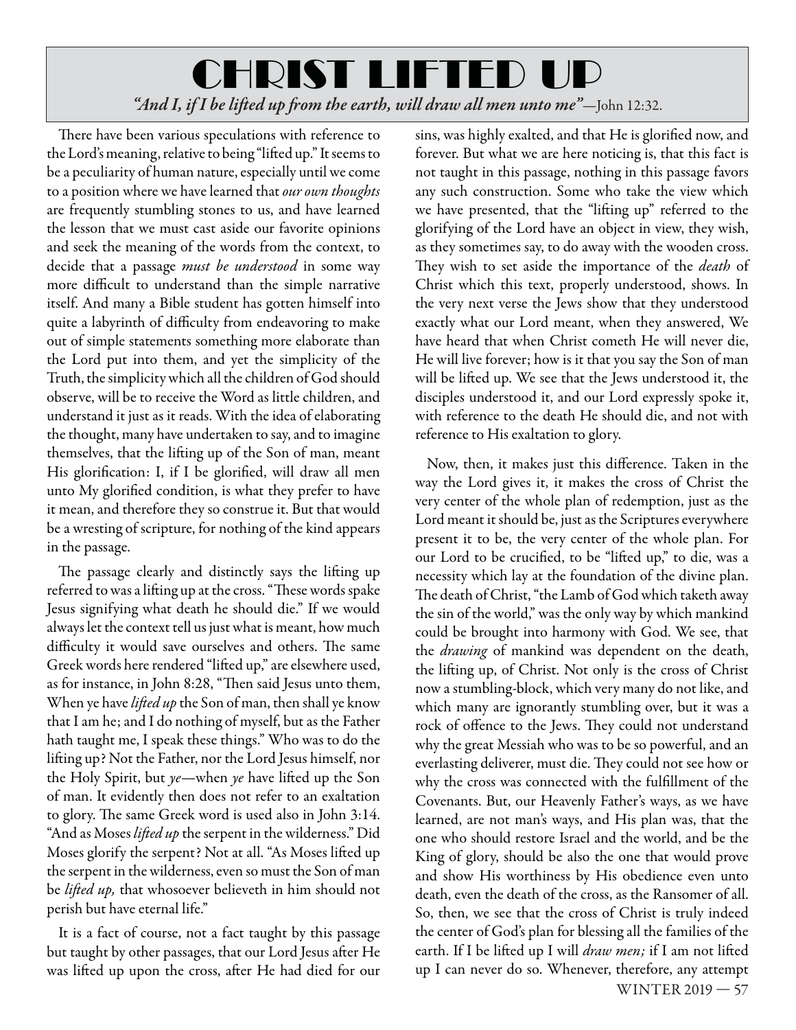# CHRIST LIFTED UP "And I, if I be lifted up from the earth, will draw all men unto me"-John 12:32.

There have been various speculations with reference to the Lord's meaning, relative to being "lifted up." It seems to be a peculiarity of human nature, especially until we come to a position where we have learned that *our own thoughts*  are frequently stumbling stones to us, and have learned the lesson that we must cast aside our favorite opinions and seek the meaning of the words from the context, to decide that a passage *must be understood* in some way more difficult to understand than the simple narrative itself. And many a Bible student has gotten himself into quite a labyrinth of difficulty from endeavoring to make out of simple statements something more elaborate than the Lord put into them, and yet the simplicity of the Truth, the simplicity which all the children of God should observe, will be to receive the Word as little children, and understand it just as it reads. With the idea of elaborating the thought, many have undertaken to say, and to imagine themselves, that the lifting up of the Son of man, meant His glorification: I, if I be glorified, will draw all men unto My glorified condition, is what they prefer to have it mean, and therefore they so construe it. But that would be a wresting of scripture, for nothing of the kind appears in the passage.

The passage clearly and distinctly says the lifting up referred to was a lifting up at the cross. "These words spake Jesus signifying what death he should die." If we would always let the context tell us just what is meant, how much difficulty it would save ourselves and others. The same Greek words here rendered "lifted up," are elsewhere used, as for instance, in John 8:28, "Then said Jesus unto them, When ye have *lifted up* the Son of man, then shall ye know that I am he; and I do nothing of myself, but as the Father hath taught me, I speak these things." Who was to do the lifting up? Not the Father, nor the Lord Jesus himself, nor the Holy Spirit, but *ye*—when *ye* have lifted up the Son of man. It evidently then does not refer to an exaltation to glory. The same Greek word is used also in John 3:14. "And as Moses lifted up the serpent in the wilderness." Did Moses glorify the serpent? Not at all. "As Moses lifted up the serpent in the wilderness, even so must the Son of man be *lifted up*, that whosoever believeth in him should not perish but have eternal life."

It is a fact of course, not a fact taught by this passage but taught by other passages, that our Lord Jesus after He was lifted up upon the cross, after He had died for our sins, was highly exalted, and that He is glorified now, and forever. But what we are here noticing is, that this fact is not taught in this passage, nothing in this passage favors any such construction. Some who take the view which we have presented, that the "lifting up" referred to the glorifying of the Lord have an object in view, they wish, as they sometimes say, to do away with the wooden cross. They wish to set aside the importance of the *death* of Christ which this text, properly understood, shows. In the very next verse the Jews show that they understood exactly what our Lord meant, when they answered, We have heard that when Christ cometh He will never die, He will live forever; how is it that you say the Son of man will be lifted up. We see that the Jews understood it, the disciples understood it, and our Lord expressly spoke it, with reference to the death He should die, and not with reference to His exaltation to glory.

WINTER 2019 — 57 Now, then, it makes just this difference. Taken in the way the Lord gives it, it makes the cross of Christ the very center of the whole plan of redemption, just as the Lord meant it should be, just as the Scriptures everywhere present it to be, the very center of the whole plan. For our Lord to be crucified, to be "lifted up," to die, was a necessity which lay at the foundation of the divine plan. The death of Christ, "the Lamb of God which taketh away the sin of the world," was the only way by which mankind could be brought into harmony with God. We see, that the *drawing* of mankind was dependent on the death, the lifting up, of Christ. Not only is the cross of Christ now a stumbling-block, which very many do not like, and which many are ignorantly stumbling over, but it was a rock of offence to the Jews. They could not understand why the great Messiah who was to be so powerful, and an everlasting deliverer, must die. They could not see how or why the cross was connected with the fulfillment of the Covenants. But, our Heavenly Father's ways, as we have learned, are not man's ways, and His plan was, that the one who should restore Israel and the world, and be the King of glory, should be also the one that would prove and show His worthiness by His obedience even unto death, even the death of the cross, as the Ransomer of all. So, then, we see that the cross of Christ is truly indeed the center of God's plan for blessing all the families of the earth. If I be lifted up I will *draw men;* if I am not lifted up I can never do so. Whenever, therefore, any attempt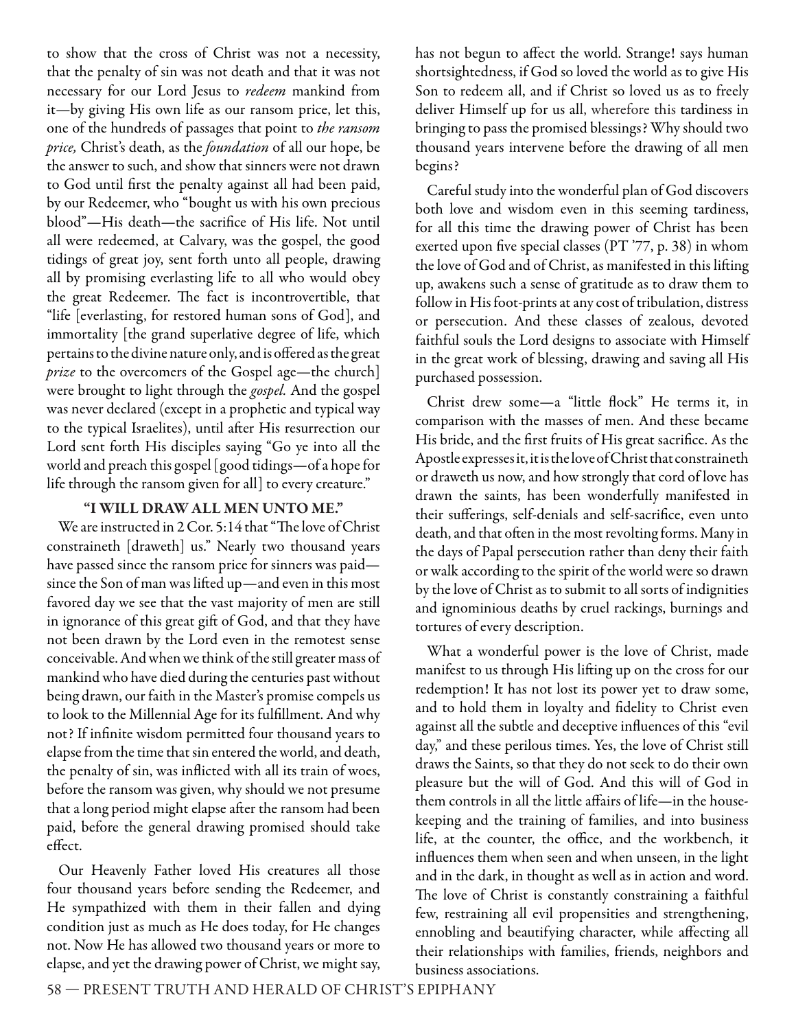to show that the cross of Christ was not a necessity, that the penalty of sin was not death and that it was not necessary for our Lord Jesus to *redeem* mankind from it—by giving His own life as our ransom price, let this, one of the hundreds of passages that point to *the ransom price,* Christ's death, as the *foundation* of all our hope, be the answer to such, and show that sinners were not drawn to God until first the penalty against all had been paid, by our Redeemer, who "bought us with his own precious blood"—His death—the sacrifice of His life. Not until all were redeemed, at Calvary, was the gospel, the good tidings of great joy, sent forth unto all people, drawing all by promising everlasting life to all who would obey the great Redeemer. The fact is incontrovertible, that "life [everlasting, for restored human sons of God], and immortality [the grand superlative degree of life, which pertains to the divine nature only, and is offered as the great *prize* to the overcomers of the Gospel age—the church] were brought to light through the *gospel.* And the gospel was never declared (except in a prophetic and typical way to the typical Israelites), until after His resurrection our Lord sent forth His disciples saying "Go ye into all the world and preach this gospel [good tidings—of a hope for life through the ransom given for all] to every creature."

#### **"I WILL DRAW ALL MEN UNTO ME."**

We are instructed in 2 Cor. 5:14 that "The love of Christ constraineth [draweth] us." Nearly two thousand years have passed since the ransom price for sinners was paid since the Son of man was lifted up—and even in this most favored day we see that the vast majority of men are still in ignorance of this great gift of God, and that they have not been drawn by the Lord even in the remotest sense conceivable. And when we think of the still greater mass of mankind who have died during the centuries past without being drawn, our faith in the Master's promise compels us to look to the Millennial Age for its fulfillment. And why not? If infinite wisdom permitted four thousand years to elapse from the time that sin entered the world, and death, the penalty of sin, was inflicted with all its train of woes, before the ransom was given, why should we not presume that a long period might elapse after the ransom had been paid, before the general drawing promised should take effect.

Our Heavenly Father loved His creatures all those four thousand years before sending the Redeemer, and He sympathized with them in their fallen and dying condition just as much as He does today, for He changes not. Now He has allowed two thousand years or more to elapse, and yet the drawing power of Christ, we might say,

has not begun to affect the world. Strange! says human shortsightedness, if God so loved the world as to give His Son to redeem all, and if Christ so loved us as to freely deliver Himself up for us all, wherefore this tardiness in bringing to pass the promised blessings? Why should two thousand years intervene before the drawing of all men begins?

Careful study into the wonderful plan of God discovers both love and wisdom even in this seeming tardiness, for all this time the drawing power of Christ has been exerted upon five special classes (PT '77, p. 38) in whom the love of God and of Christ, as manifested in this lifting up, awakens such a sense of gratitude as to draw them to follow in His foot-prints at any cost of tribulation, distress or persecution. And these classes of zealous, devoted faithful souls the Lord designs to associate with Himself in the great work of blessing, drawing and saving all His purchased possession.

Christ drew some-a "little flock" He terms it, in comparison with the masses of men. And these became His bride, and the first fruits of His great sacrifice. As the Apostle expresses it, it is the love of Christ that constraineth or draweth us now, and how strongly that cord of love has drawn the saints, has been wonderfully manifested in their sufferings, self-denials and self-sacrifice, even unto death, and that often in the most revolting forms. Many in the days of Papal persecution rather than deny their faith or walk according to the spirit of the world were so drawn by the love of Christ as to submit to all sorts of indignities and ignominious deaths by cruel rackings, burnings and tortures of every description.

What a wonderful power is the love of Christ, made manifest to us through His lifting up on the cross for our redemption! It has not lost its power yet to draw some, and to hold them in loyalty and fidelity to Christ even against all the subtle and deceptive influences of this "evil day," and these perilous times. Yes, the love of Christ still draws the Saints, so that they do not seek to do their own pleasure but the will of God. And this will of God in them controls in all the little affairs of life—in the housekeeping and the training of families, and into business life, at the counter, the office, and the workbench, it influences them when seen and when unseen, in the light and in the dark, in thought as well as in action and word. The love of Christ is constantly constraining a faithful few, restraining all evil propensities and strengthening, ennobling and beautifying character, while affecting all their relationships with families, friends, neighbors and business associations.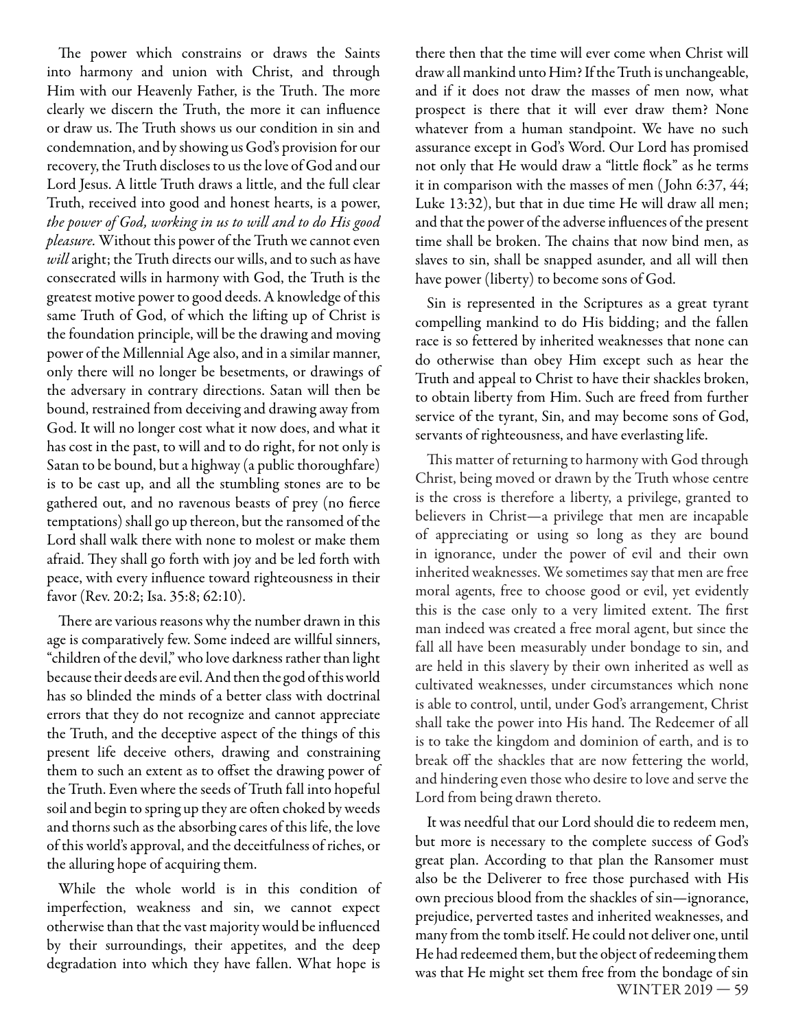The power which constrains or draws the Saints into harmony and union with Christ, and through Him with our Heavenly Father, is the Truth. The more clearly we discern the Truth, the more it can influence or draw us. The Truth shows us our condition in sin and condemnation, and by showing us God's provision for our recovery, the Truth discloses to us the love of God and our Lord Jesus. A little Truth draws a little, and the full clear Truth, received into good and honest hearts, is a power, *the power of God, working in us to will and to do His good pleasure.* Without this power of the Truth we cannot even *will* aright; the Truth directs our wills, and to such as have consecrated wills in harmony with God, the Truth is the greatest motive power to good deeds. A knowledge of this same Truth of God, of which the lifting up of Christ is the foundation principle, will be the drawing and moving power of the Millennial Age also, and in a similar manner, only there will no longer be besetments, or drawings of the adversary in contrary directions. Satan will then be bound, restrained from deceiving and drawing away from God. It will no longer cost what it now does, and what it has cost in the past, to will and to do right, for not only is Satan to be bound, but a highway (a public thoroughfare) is to be cast up, and all the stumbling stones are to be gathered out, and no ravenous beasts of prey (no fierce temptations) shall go up thereon, but the ransomed of the Lord shall walk there with none to molest or make them afraid. They shall go forth with joy and be led forth with peace, with every influence toward righteousness in their favor (Rev. 20:2; Isa. 35:8; 62:10).

There are various reasons why the number drawn in this age is comparatively few. Some indeed are willful sinners, "children of the devil," who love darkness rather than light because their deeds are evil. And then the god of this world has so blinded the minds of a better class with doctrinal errors that they do not recognize and cannot appreciate the Truth, and the deceptive aspect of the things of this present life deceive others, drawing and constraining them to such an extent as to offset the drawing power of the Truth. Even where the seeds of Truth fall into hopeful soil and begin to spring up they are often choked by weeds and thorns such as the absorbing cares of this life, the love of this world's approval, and the deceitfulness of riches, or the alluring hope of acquiring them.

While the whole world is in this condition of imperfection, weakness and sin, we cannot expect otherwise than that the vast majority would be influenced by their surroundings, their appetites, and the deep degradation into which they have fallen. What hope is

there then that the time will ever come when Christ will draw all mankind unto Him? If the Truth is unchangeable, and if it does not draw the masses of men now, what prospect is there that it will ever draw them? None whatever from a human standpoint. We have no such assurance except in God's Word. Our Lord has promised not only that He would draw a "little flock" as he terms it in comparison with the masses of men ( John 6:37, 44; Luke 13:32), but that in due time He will draw all men; and that the power of the adverse influences of the present time shall be broken. The chains that now bind men, as slaves to sin, shall be snapped asunder, and all will then have power (liberty) to become sons of God.

Sin is represented in the Scriptures as a great tyrant compelling mankind to do His bidding; and the fallen race is so fettered by inherited weaknesses that none can do otherwise than obey Him except such as hear the Truth and appeal to Christ to have their shackles broken, to obtain liberty from Him. Such are freed from further service of the tyrant, Sin, and may become sons of God, servants of righteousness, and have everlasting life.

This matter of returning to harmony with God through Christ, being moved or drawn by the Truth whose centre is the cross is therefore a liberty, a privilege, granted to believers in Christ—a privilege that men are incapable of appreciating or using so long as they are bound in ignorance, under the power of evil and their own inherited weaknesses. We sometimes say that men are free moral agents, free to choose good or evil, yet evidently this is the case only to a very limited extent. The first man indeed was created a free moral agent, but since the fall all have been measurably under bondage to sin, and are held in this slavery by their own inherited as well as cultivated weaknesses, under circumstances which none is able to control, until, under God's arrangement, Christ shall take the power into His hand. The Redeemer of all is to take the kingdom and dominion of earth, and is to break off the shackles that are now fettering the world, and hindering even those who desire to love and serve the Lord from being drawn thereto.

WINTER 2019 — 59 It was needful that our Lord should die to redeem men, but more is necessary to the complete success of God's great plan. According to that plan the Ransomer must also be the Deliverer to free those purchased with His own precious blood from the shackles of sin—ignorance, prejudice, perverted tastes and inherited weaknesses, and many from the tomb itself. He could not deliver one, until He had redeemed them, but the object of redeeming them was that He might set them free from the bondage of sin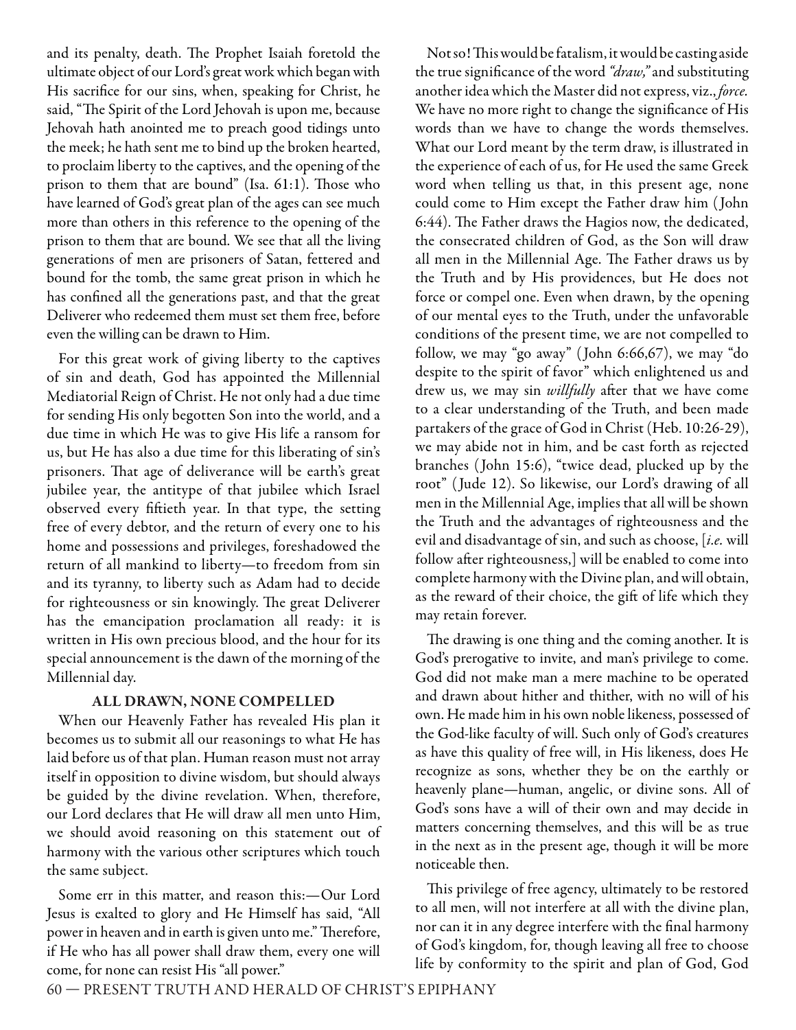and its penalty, death. The Prophet Isaiah foretold the ultimate object of our Lord's great work which began with His sacrifice for our sins, when, speaking for Christ, he said, "The Spirit of the Lord Jehovah is upon me, because Jehovah hath anointed me to preach good tidings unto the meek; he hath sent me to bind up the broken hearted, to proclaim liberty to the captives, and the opening of the prison to them that are bound" (Isa.  $61:1$ ). Those who have learned of God's great plan of the ages can see much more than others in this reference to the opening of the prison to them that are bound. We see that all the living generations of men are prisoners of Satan, fettered and bound for the tomb, the same great prison in which he has confined all the generations past, and that the great Deliverer who redeemed them must set them free, before even the willing can be drawn to Him.

For this great work of giving liberty to the captives of sin and death, God has appointed the Millennial Mediatorial Reign of Christ. He not only had a due time for sending His only begotten Son into the world, and a due time in which He was to give His life a ransom for us, but He has also a due time for this liberating of sin's prisoners. That age of deliverance will be earth's great jubilee year, the antitype of that jubilee which Israel observed every fiftieth year. In that type, the setting free of every debtor, and the return of every one to his home and possessions and privileges, foreshadowed the return of all mankind to liberty—to freedom from sin and its tyranny, to liberty such as Adam had to decide for righteousness or sin knowingly. The great Deliverer has the emancipation proclamation all ready: it is written in His own precious blood, and the hour for its special announcement is the dawn of the morning of the Millennial day.

#### **ALL DRAWN, NONE COMPELLED**

When our Heavenly Father has revealed His plan it becomes us to submit all our reasonings to what He has laid before us of that plan. Human reason must not array itself in opposition to divine wisdom, but should always be guided by the divine revelation. When, therefore, our Lord declares that He will draw all men unto Him, we should avoid reasoning on this statement out of harmony with the various other scriptures which touch the same subject.

Some err in this matter, and reason this:—Our Lord Jesus is exalted to glory and He Himself has said, "All power in heaven and in earth is given unto me." Therefore, if He who has all power shall draw them, every one will come, for none can resist His "all power."

Not so! This would be fatalism, it would be casting aside the true significance of the word "draw," and substituting another idea which the Master did not express, viz., *force.*  We have no more right to change the significance of His words than we have to change the words themselves. What our Lord meant by the term draw, is illustrated in the experience of each of us, for He used the same Greek word when telling us that, in this present age, none could come to Him except the Father draw him ( John 6:44). The Father draws the Hagios now, the dedicated, the consecrated children of God, as the Son will draw all men in the Millennial Age. The Father draws us by the Truth and by His providences, but He does not force or compel one. Even when drawn, by the opening of our mental eyes to the Truth, under the unfavorable conditions of the present time, we are not compelled to follow, we may "go away" ( John 6:66,67), we may "do despite to the spirit of favor" which enlightened us and drew us, we may sin *willfully* after that we have come to a clear understanding of the Truth, and been made partakers of the grace of God in Christ (Heb. 10:26-29), we may abide not in him, and be cast forth as rejected branches ( John 15:6), "twice dead, plucked up by the root" ( Jude 12). So likewise, our Lord's drawing of all men in the Millennial Age, implies that all will be shown the Truth and the advantages of righteousness and the evil and disadvantage of sin, and such as choose, [*i.e.* will follow after righteousness,] will be enabled to come into complete harmony with the Divine plan, and will obtain, as the reward of their choice, the gift of life which they may retain forever.

The drawing is one thing and the coming another. It is God's prerogative to invite, and man's privilege to come. God did not make man a mere machine to be operated and drawn about hither and thither, with no will of his own. He made him in his own noble likeness, possessed of the God-like faculty of will. Such only of God's creatures as have this quality of free will, in His likeness, does He recognize as sons, whether they be on the earthly or heavenly plane—human, angelic, or divine sons. All of God's sons have a will of their own and may decide in matters concerning themselves, and this will be as true in the next as in the present age, though it will be more noticeable then.

This privilege of free agency, ultimately to be restored to all men, will not interfere at all with the divine plan, nor can it in any degree interfere with the final harmony of God's kingdom, for, though leaving all free to choose life by conformity to the spirit and plan of God, God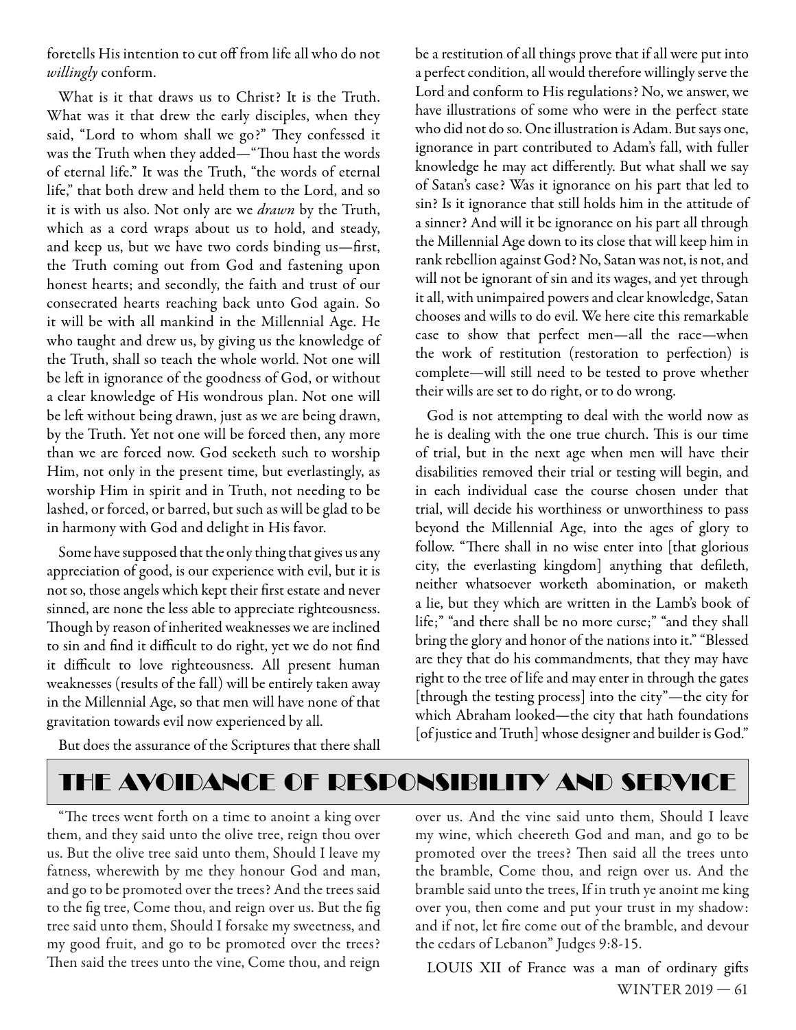foretells His intention to cut off from life all who do not *willingly* conform.

What is it that draws us to Christ? It is the Truth. What was it that drew the early disciples, when they said, "Lord to whom shall we go?" They confessed it was the Truth when they added—"Thou hast the words of eternal life." It was the Truth, "the words of eternal life," that both drew and held them to the Lord, and so it is with us also. Not only are we *drawn* by the Truth, which as a cord wraps about us to hold, and steady, and keep us, but we have two cords binding us-first, the Truth coming out from God and fastening upon honest hearts; and secondly, the faith and trust of our consecrated hearts reaching back unto God again. So it will be with all mankind in the Millennial Age. He who taught and drew us, by giving us the knowledge of the Truth, shall so teach the whole world. Not one will be left in ignorance of the goodness of God, or without a clear knowledge of His wondrous plan. Not one will be left without being drawn, just as we are being drawn, by the Truth. Yet not one will be forced then, any more than we are forced now. God seeketh such to worship Him, not only in the present time, but everlastingly, as worship Him in spirit and in Truth, not needing to be lashed, or forced, or barred, but such as will be glad to be in harmony with God and delight in His favor.

Some have supposed that the only thing that gives us any appreciation of good, is our experience with evil, but it is not so, those angels which kept their first estate and never sinned, are none the less able to appreciate righteousness. Though by reason of inherited weaknesses we are inclined to sin and find it difficult to do right, yet we do not find it difficult to love righteousness. All present human weaknesses (results of the fall) will be entirely taken away in the Millennial Age, so that men will have none of that gravitation towards evil now experienced by all.

But does the assurance of the Scriptures that there shall

be a restitution of all things prove that if all were put into a perfect condition, all would therefore willingly serve the Lord and conform to His regulations? No, we answer, we have illustrations of some who were in the perfect state who did not do so. One illustration is Adam. But says one, ignorance in part contributed to Adam's fall, with fuller knowledge he may act differently. But what shall we say of Satan's case? Was it ignorance on his part that led to sin? Is it ignorance that still holds him in the attitude of a sinner? And will it be ignorance on his part all through the Millennial Age down to its close that will keep him in rank rebellion against God? No, Satan was not, is not, and will not be ignorant of sin and its wages, and yet through it all, with unimpaired powers and clear knowledge, Satan chooses and wills to do evil. We here cite this remarkable case to show that perfect men—all the race—when the work of restitution (restoration to perfection) is complete—will still need to be tested to prove whether their wills are set to do right, or to do wrong.

God is not attempting to deal with the world now as he is dealing with the one true church. This is our time of trial, but in the next age when men will have their disabilities removed their trial or testing will begin, and in each individual case the course chosen under that trial, will decide his worthiness or unworthiness to pass beyond the Millennial Age, into the ages of glory to follow. "There shall in no wise enter into [that glorious city, the everlasting kingdom] anything that defileth, neither whatsoever worketh abomination, or maketh a lie, but they which are written in the Lamb's book of life;" "and there shall be no more curse;" "and they shall bring the glory and honor of the nations into it." "Blessed are they that do his commandments, that they may have right to the tree of life and may enter in through the gates [through the testing process] into the city"—the city for which Abraham looked—the city that hath foundations [of justice and Truth] whose designer and builder is God."

# THE AVOIDANCE OF RESPONSIBILITY AND SERVICE

"The trees went forth on a time to anoint a king over them, and they said unto the olive tree, reign thou over us. But the olive tree said unto them, Should I leave my fatness, wherewith by me they honour God and man, and go to be promoted over the trees? And the trees said to the fig tree, Come thou, and reign over us. But the fig tree said unto them, Should I forsake my sweetness, and my good fruit, and go to be promoted over the trees? Then said the trees unto the vine, Come thou, and reign

over us. And the vine said unto them, Should I leave my wine, which cheereth God and man, and go to be promoted over the trees? Then said all the trees unto the bramble, Come thou, and reign over us. And the bramble said unto the trees, If in truth ye anoint me king over you, then come and put your trust in my shadow: and if not, let fire come out of the bramble, and devour the cedars of Lebanon" Judges 9:8-15.

WINTER 2019 — 61 LOUIS XII of France was a man of ordinary gifts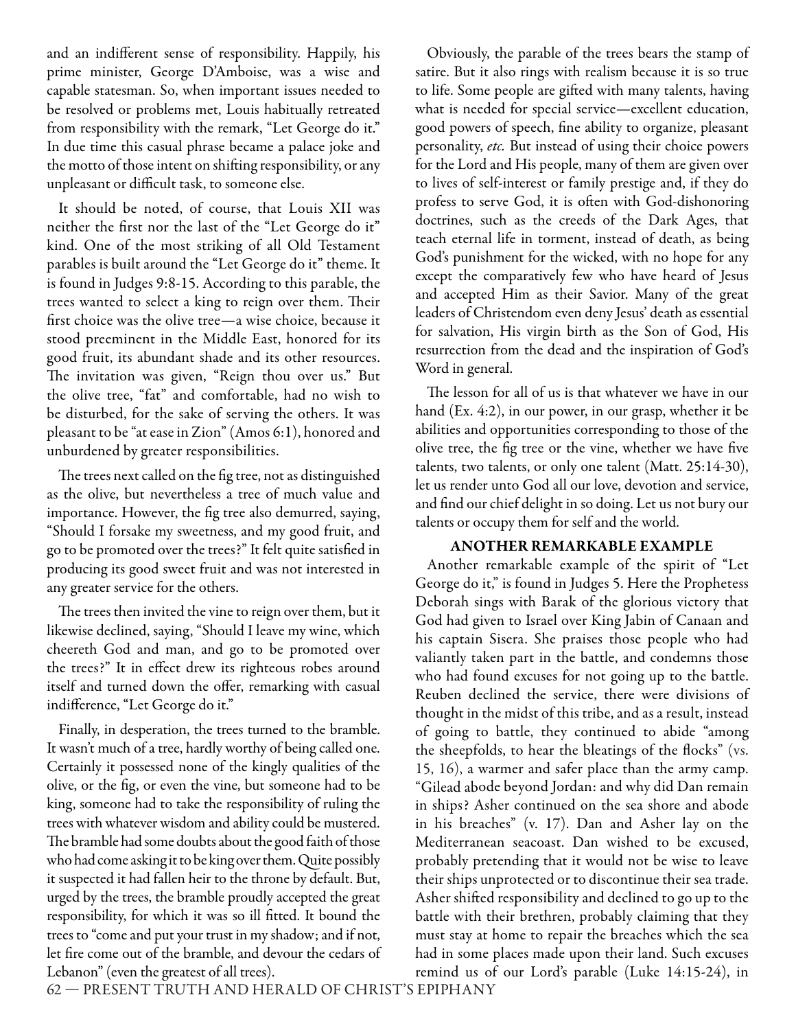and an indifferent sense of responsibility. Happily, his prime minister, George D'Amboise, was a wise and capable statesman. So, when important issues needed to be resolved or problems met, Louis habitually retreated from responsibility with the remark, "Let George do it." In due time this casual phrase became a palace joke and the motto of those intent on shifting responsibility, or any unpleasant or difficult task, to someone else.

It should be noted, of course, that Louis XII was neither the first nor the last of the "Let George do it" kind. One of the most striking of all Old Testament parables is built around the "Let George do it" theme. It is found in Judges 9:8-15. According to this parable, the trees wanted to select a king to reign over them. Their first choice was the olive tree—a wise choice, because it stood preeminent in the Middle East, honored for its good fruit, its abundant shade and its other resources. The invitation was given, "Reign thou over us." But the olive tree, "fat" and comfortable, had no wish to be disturbed, for the sake of serving the others. It was pleasant to be "at ease in Zion" (Amos 6:1), honored and unburdened by greater responsibilities.

The trees next called on the fig tree, not as distinguished as the olive, but nevertheless a tree of much value and importance. However, the fig tree also demurred, saying, "Should I forsake my sweetness, and my good fruit, and go to be promoted over the trees?" It felt quite satisfied in producing its good sweet fruit and was not interested in any greater service for the others.

The trees then invited the vine to reign over them, but it likewise declined, saying, "Should I leave my wine, which cheereth God and man, and go to be promoted over the trees?" It in effect drew its righteous robes around itself and turned down the offer, remarking with casual indifference, "Let George do it."

Finally, in desperation, the trees turned to the bramble. It wasn't much of a tree, hardly worthy of being called one. Certainly it possessed none of the kingly qualities of the olive, or the fig, or even the vine, but someone had to be king, someone had to take the responsibility of ruling the trees with whatever wisdom and ability could be mustered. The bramble had some doubts about the good faith of those who had come asking it to be king over them. Quite possibly it suspected it had fallen heir to the throne by default. But, urged by the trees, the bramble proudly accepted the great responsibility, for which it was so ill fitted. It bound the trees to "come and put your trust in my shadow; and if not, let fire come out of the bramble, and devour the cedars of Lebanon" (even the greatest of all trees).

Obviously, the parable of the trees bears the stamp of satire. But it also rings with realism because it is so true to life. Some people are gifted with many talents, having what is needed for special service—excellent education, good powers of speech, fine ability to organize, pleasant personality, *etc.* But instead of using their choice powers for the Lord and His people, many of them are given over to lives of self-interest or family prestige and, if they do profess to serve God, it is often with God-dishonoring doctrines, such as the creeds of the Dark Ages, that teach eternal life in torment, instead of death, as being God's punishment for the wicked, with no hope for any except the comparatively few who have heard of Jesus and accepted Him as their Savior. Many of the great leaders of Christendom even deny Jesus' death as essential for salvation, His virgin birth as the Son of God, His resurrection from the dead and the inspiration of God's Word in general.

The lesson for all of us is that whatever we have in our hand (Ex. 4:2), in our power, in our grasp, whether it be abilities and opportunities corresponding to those of the olive tree, the fig tree or the vine, whether we have five talents, two talents, or only one talent (Matt. 25:14-30), let us render unto God all our love, devotion and service, and find our chief delight in so doing. Let us not bury our talents or occupy them for self and the world.

#### **ANOTHER REMARKABLE EXAMPLE**

Another remarkable example of the spirit of "Let George do it," is found in Judges 5. Here the Prophetess Deborah sings with Barak of the glorious victory that God had given to Israel over King Jabin of Canaan and his captain Sisera. She praises those people who had valiantly taken part in the battle, and condemns those who had found excuses for not going up to the battle. Reuben declined the service, there were divisions of thought in the midst of this tribe, and as a result, instead of going to battle, they continued to abide "among the sheepfolds, to hear the bleatings of the flocks" (vs. 15, 16), a warmer and safer place than the army camp. "Gilead abode beyond Jordan: and why did Dan remain in ships? Asher continued on the sea shore and abode in his breaches" (v. 17). Dan and Asher lay on the Mediterranean seacoast. Dan wished to be excused, probably pretending that it would not be wise to leave their ships unprotected or to discontinue their sea trade. Asher shifted responsibility and declined to go up to the battle with their brethren, probably claiming that they must stay at home to repair the breaches which the sea had in some places made upon their land. Such excuses remind us of our Lord's parable (Luke 14:15-24), in

62 — PRESENT TRUTH AND HERALD OF CHRIST'S EPIPHANY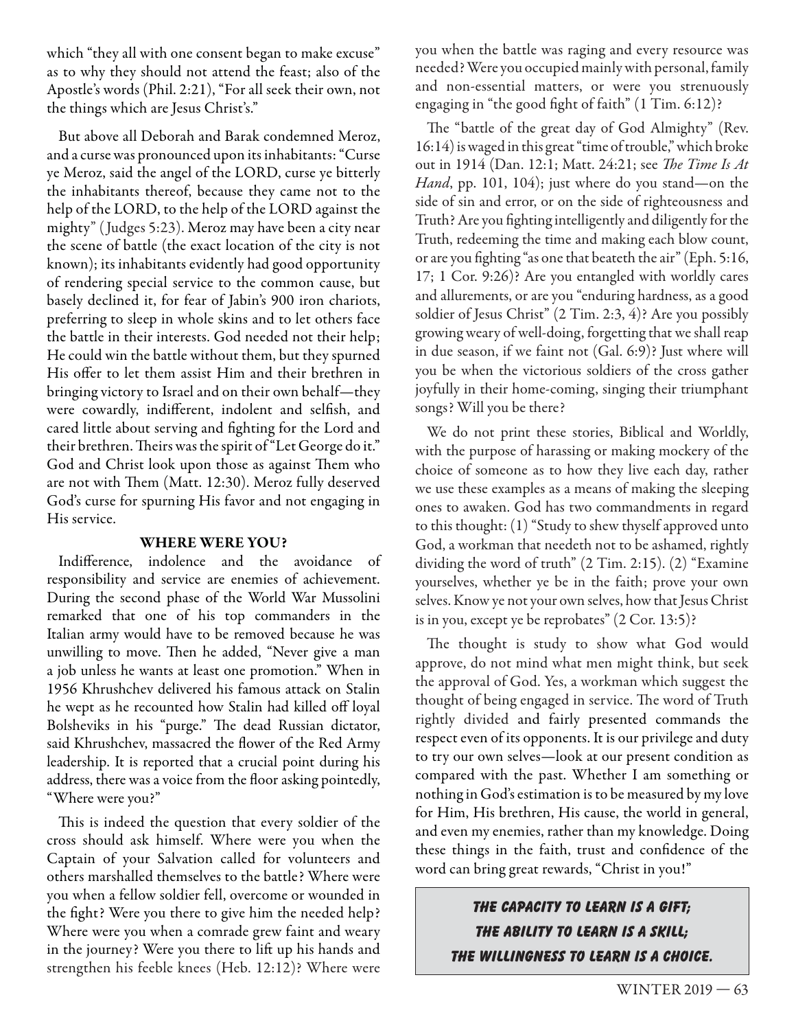which "they all with one consent began to make excuse" as to why they should not attend the feast; also of the Apostle's words (Phil. 2:21), "For all seek their own, not the things which are Jesus Christ's."

But above all Deborah and Barak condemned Meroz, and a curse was pronounced upon its inhabitants: "Curse ye Meroz, said the angel of the LORD, curse ye bitterly the inhabitants thereof, because they came not to the help of the LORD, to the help of the LORD against the mighty" ( Judges 5:23). Meroz may have been a city near the scene of battle (the exact location of the city is not known); its inhabitants evidently had good opportunity of rendering special service to the common cause, but basely declined it, for fear of Jabin's 900 iron chariots, preferring to sleep in whole skins and to let others face the battle in their interests. God needed not their help; He could win the battle without them, but they spurned His offer to let them assist Him and their brethren in bringing victory to Israel and on their own behalf—they were cowardly, indifferent, indolent and selfish, and cared little about serving and fighting for the Lord and their brethren. Theirs was the spirit of "Let George do it." God and Christ look upon those as against Them who are not with Them (Matt. 12:30). Meroz fully deserved God's curse for spurning His favor and not engaging in His service.

#### **WHERE WERE YOU?**

Indifference, indolence and the avoidance of responsibility and service are enemies of achievement. During the second phase of the World War Mussolini remarked that one of his top commanders in the Italian army would have to be removed because he was unwilling to move. Then he added, "Never give a man a job unless he wants at least one promotion." When in 1956 Khrushchev delivered his famous attack on Stalin he wept as he recounted how Stalin had killed off loyal Bolsheviks in his "purge." The dead Russian dictator, said Khrushchev, massacred the flower of the Red Army leadership. It is reported that a crucial point during his address, there was a voice from the floor asking pointedly, "Where were you?"

This is indeed the question that every soldier of the cross should ask himself. Where were you when the Captain of your Salvation called for volunteers and others marshalled themselves to the battle? Where were you when a fellow soldier fell, overcome or wounded in the fight? Were you there to give him the needed help? Where were you when a comrade grew faint and weary in the journey? Were you there to lift up his hands and strengthen his feeble knees (Heb. 12:12)? Where were

you when the battle was raging and every resource was needed? Were you occupied mainly with personal, family and non-essential matters, or were you strenuously engaging in "the good fight of faith" (1 Tim. 6:12)?

The "battle of the great day of God Almighty" (Rev. 16:14) is waged in this great "time of trouble," which broke out in 1914 (Dan. 12:1; Matt. 24:21; see *The Time Is At Hand*, pp. 101, 104); just where do you stand—on the side of sin and error, or on the side of righteousness and Truth? Are you fighting intelligently and diligently for the Truth, redeeming the time and making each blow count, or are you fighting "as one that beateth the air" (Eph. 5:16, 17; 1 Cor. 9:26)? Are you entangled with worldly cares and allurements, or are you "enduring hardness, as a good soldier of Jesus Christ" (2 Tim. 2:3, 4)? Are you possibly growing weary of well-doing, forgetting that we shall reap in due season, if we faint not (Gal. 6:9)? Just where will you be when the victorious soldiers of the cross gather joyfully in their home-coming, singing their triumphant songs? Will you be there?

We do not print these stories, Biblical and Worldly, with the purpose of harassing or making mockery of the choice of someone as to how they live each day, rather we use these examples as a means of making the sleeping ones to awaken. God has two commandments in regard to this thought: (1) "Study to shew thyself approved unto God, a workman that needeth not to be ashamed, rightly dividing the word of truth" (2 Tim. 2:15). (2) "Examine yourselves, whether ye be in the faith; prove your own selves. Know ye not your own selves, how that Jesus Christ is in you, except ye be reprobates" (2 Cor. 13:5)?

The thought is study to show what God would approve, do not mind what men might think, but seek the approval of God. Yes, a workman which suggest the thought of being engaged in service. The word of Truth rightly divided and fairly presented commands the respect even of its opponents. It is our privilege and duty to try our own selves—look at our present condition as compared with the past. Whether I am something or nothing in God's estimation is to be measured by my love for Him, His brethren, His cause, the world in general, and even my enemies, rather than my knowledge. Doing these things in the faith, trust and confidence of the word can bring great rewards, "Christ in you!"

> **The capacity to learn is a gift; The ability to learn is a skill; The willingness to learn is a choice.**